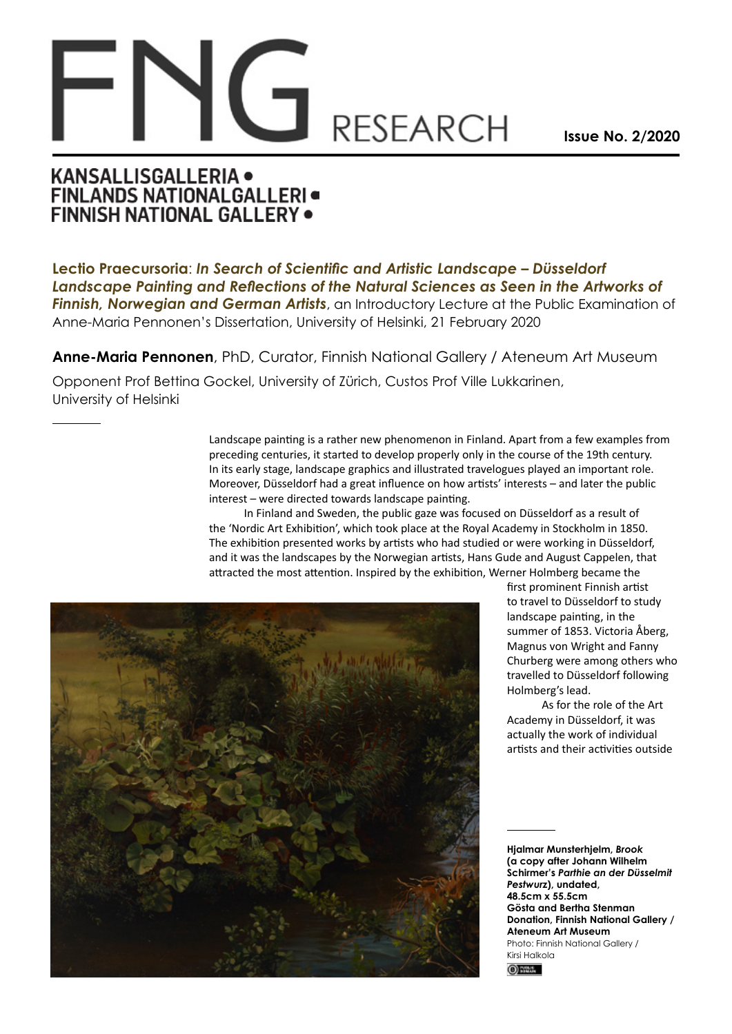## **RESEARCH**

**Issue No. 2/2020**

## **KANSALLISGALLERIA · FINLANDS NATIONALGALLERI** FINNISH NATIONAL GALLERY .

**Lectio Praecursoria**: *In Search of Scientific and Artistic Landscape – Düsseldorf Landscape Painting and Reflections of the Natural Sciences as Seen in the Artworks of Finnish, Norwegian and German Artists*, an Introductory Lecture at the Public Examination of Anne-Maria Pennonen's Dissertation, University of Helsinki, 21 February 2020

**Anne-Maria Pennonen**, PhD, Curator, Finnish National Gallery / Ateneum Art Museum

Opponent Prof Bettina Gockel, University of Zürich, Custos Prof Ville Lukkarinen, University of Helsinki

> Landscape painting is a rather new phenomenon in Finland. Apart from a few examples from preceding centuries, it started to develop properly only in the course of the 19th century. In its early stage, landscape graphics and illustrated travelogues played an important role. Moreover, Düsseldorf had a great influence on how artists' interests – and later the public interest – were directed towards landscape painting.

In Finland and Sweden, the public gaze was focused on Düsseldorf as a result of the 'Nordic Art Exhibition', which took place at the Royal Academy in Stockholm in 1850. The exhibition presented works by artists who had studied or were working in Düsseldorf, and it was the landscapes by the Norwegian artists, Hans Gude and August Cappelen, that attracted the most attention. Inspired by the exhibition, Werner Holmberg became the



first prominent Finnish artist to travel to Düsseldorf to study landscape painting, in the summer of 1853. Victoria Åberg, Magnus von Wright and Fanny Churberg were among others who travelled to Düsseldorf following Holmberg's lead.

As for the role of the Art Academy in Düsseldorf, it was actually the work of individual artists and their activities outside

**Hjalmar Munsterhjelm,** *Brook* **(a copy after Johann Wilhelm Schirmer's** *Parthie an der Düsselmit Pestwurz***), undated, 48.5cm x 55.5cm Gösta and Bertha Stenman Donation, Finnish National Gallery / Ateneum Art Museum** Photo: Finnish National Gallery / Kirsi Halkola  $①$  sees.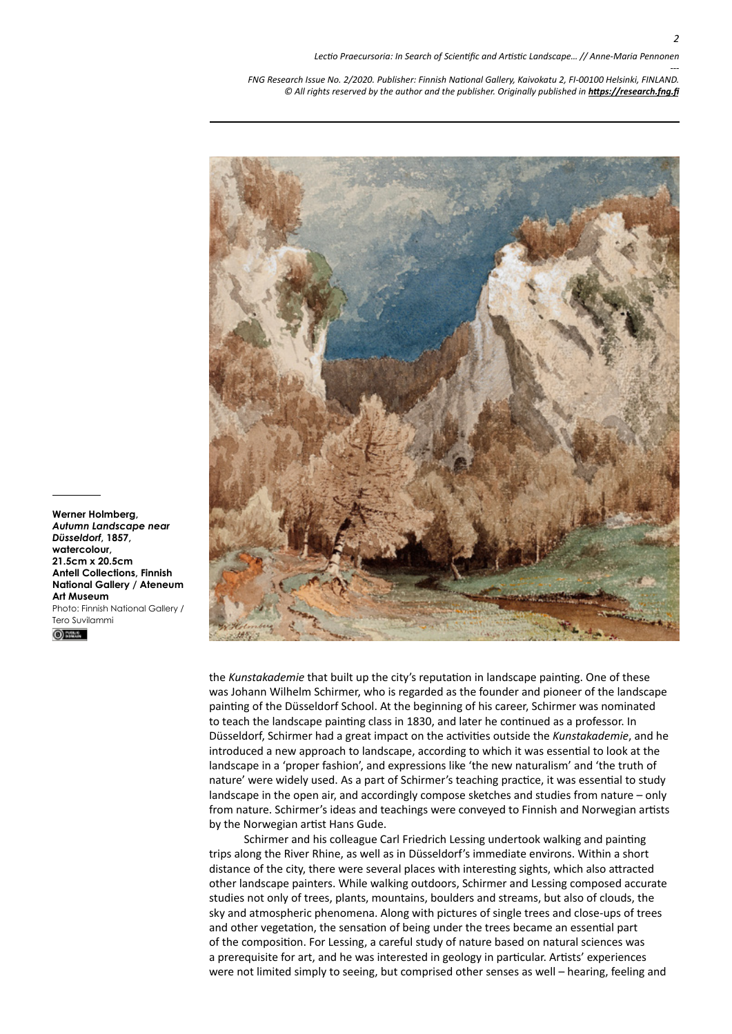

the *Kunstakademie* that built up the city's reputation in landscape painting. One of these was Johann Wilhelm Schirmer, who is regarded as the founder and pioneer of the landscape painting of the Düsseldorf School. At the beginning of his career, Schirmer was nominated to teach the landscape painting class in 1830, and later he continued as a professor. In Düsseldorf, Schirmer had a great impact on the activities outside the *Kunstakademie*, and he introduced a new approach to landscape, according to which it was essential to look at the landscape in a 'proper fashion', and expressions like 'the new naturalism' and 'the truth of nature' were widely used. As a part of Schirmer's teaching practice, it was essential to study landscape in the open air, and accordingly compose sketches and studies from nature – only from nature. Schirmer's ideas and teachings were conveyed to Finnish and Norwegian artists by the Norwegian artist Hans Gude.

Schirmer and his colleague Carl Friedrich Lessing undertook walking and painting trips along the River Rhine, as well as in Düsseldorf's immediate environs. Within a short distance of the city, there were several places with interesting sights, which also attracted other landscape painters. While walking outdoors, Schirmer and Lessing composed accurate studies not only of trees, plants, mountains, boulders and streams, but also of clouds, the sky and atmospheric phenomena. Along with pictures of single trees and close-ups of trees and other vegetation, the sensation of being under the trees became an essential part of the composition. For Lessing, a careful study of nature based on natural sciences was a prerequisite for art, and he was interested in geology in particular. Artists' experiences were not limited simply to seeing, but comprised other senses as well – hearing, feeling and

**Werner Holmberg,**  *Autumn Landscape near Düsseldorf***, 1857, watercolour, 21.5cm x 20.5cm Antell Collections, Finnish National Gallery / Ateneum Art Museum** Photo: Finnish National Gallery / Tero Suvilammi

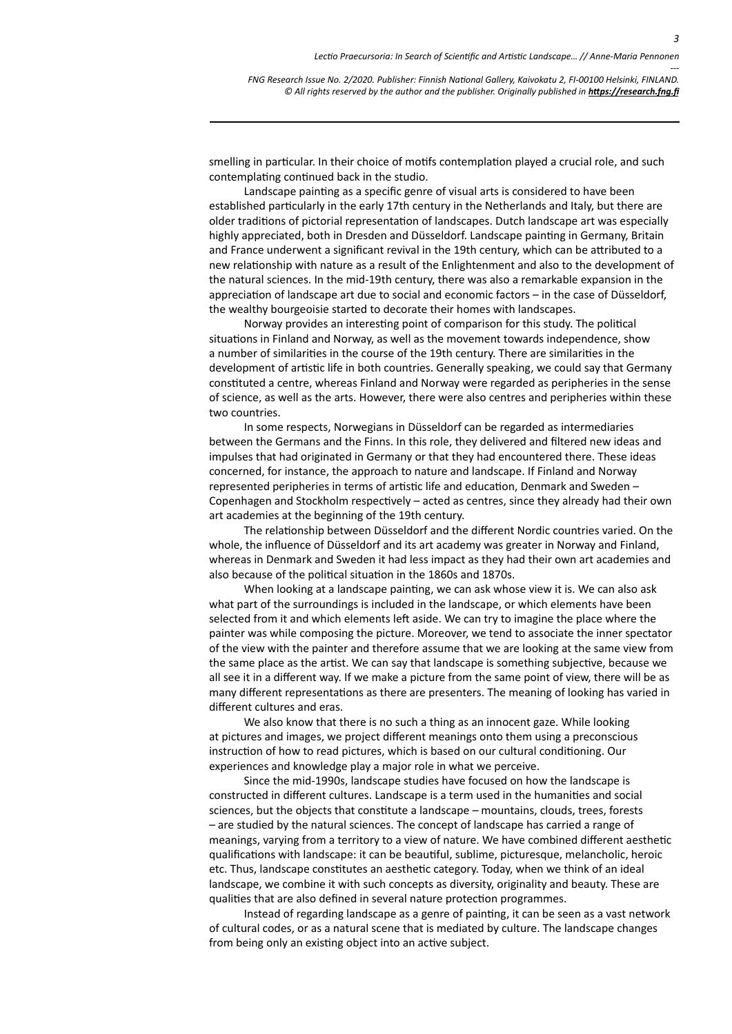smelling in particular. In their choice of motifs contemplation played a crucial role, and such contemplating continued back in the studio.

Landscape painting as a specific genre of visual arts is considered to have been established particularly in the early 17th century in the Netherlands and Italy, but there are older traditions of pictorial representation of landscapes. Dutch landscape art was especially highly appreciated, both in Dresden and Düsseldorf. Landscape painting in Germany, Britain and France underwent a significant revival in the 19th century, which can be attributed to a new relationship with nature as a result of the Enlightenment and also to the development of the natural sciences. In the mid-19th century, there was also a remarkable expansion in the appreciation of landscape art due to social and economic factors – in the case of Düsseldorf, the wealthy bourgeoisie started to decorate their homes with landscapes.

Norway provides an interesting point of comparison for this study. The political situations in Finland and Norway, as well as the movement towards independence, show a number of similarities in the course of the 19th century. There are similarities in the development of artistic life in both countries. Generally speaking, we could say that Germany constituted a centre, whereas Finland and Norway were regarded as peripheries in the sense of science, as well as the arts. However, there were also centres and peripheries within these two countries.

In some respects, Norwegians in Düsseldorf can be regarded as intermediaries between the Germans and the Finns. In this role, they delivered and filtered new ideas and impulses that had originated in Germany or that they had encountered there. These ideas concerned, for instance, the approach to nature and landscape. If Finland and Norway represented peripheries in terms of artistic life and education, Denmark and Sweden – Copenhagen and Stockholm respectively – acted as centres, since they already had their own art academies at the beginning of the 19th century.

The relationship between Düsseldorf and the different Nordic countries varied. On the whole, the influence of Düsseldorf and its art academy was greater in Norway and Finland, whereas in Denmark and Sweden it had less impact as they had their own art academies and also because of the political situation in the 1860s and 1870s.

When looking at a landscape painting, we can ask whose view it is. We can also ask what part of the surroundings is included in the landscape, or which elements have been selected from it and which elements left aside. We can try to imagine the place where the painter was while composing the picture. Moreover, we tend to associate the inner spectator of the view with the painter and therefore assume that we are looking at the same view from the same place as the artist. We can say that landscape is something subjective, because we all see it in a different way. If we make a picture from the same point of view, there will be as many different representations as there are presenters. The meaning of looking has varied in different cultures and eras.

We also know that there is no such a thing as an innocent gaze. While looking at pictures and images, we project different meanings onto them using a preconscious instruction of how to read pictures, which is based on our cultural conditioning. Our experiences and knowledge play a major role in what we perceive.

Since the mid-1990s, landscape studies have focused on how the landscape is constructed in different cultures. Landscape is a term used in the humanities and social sciences, but the objects that constitute a landscape *–* mountains, clouds, trees, forests *–* are studied by the natural sciences. The concept of landscape has carried a range of meanings, varying from a territory to a view of nature. We have combined different aesthetic qualifications with landscape: it can be beautiful, sublime, picturesque, melancholic, heroic etc. Thus, landscape constitutes an aesthetic category. Today, when we think of an ideal landscape, we combine it with such concepts as diversity, originality and beauty. These are qualities that are also defined in several nature protection programmes.

Instead of regarding landscape as a genre of painting, it can be seen as a vast network of cultural codes, or as a natural scene that is mediated by culture. The landscape changes from being only an existing object into an active subject.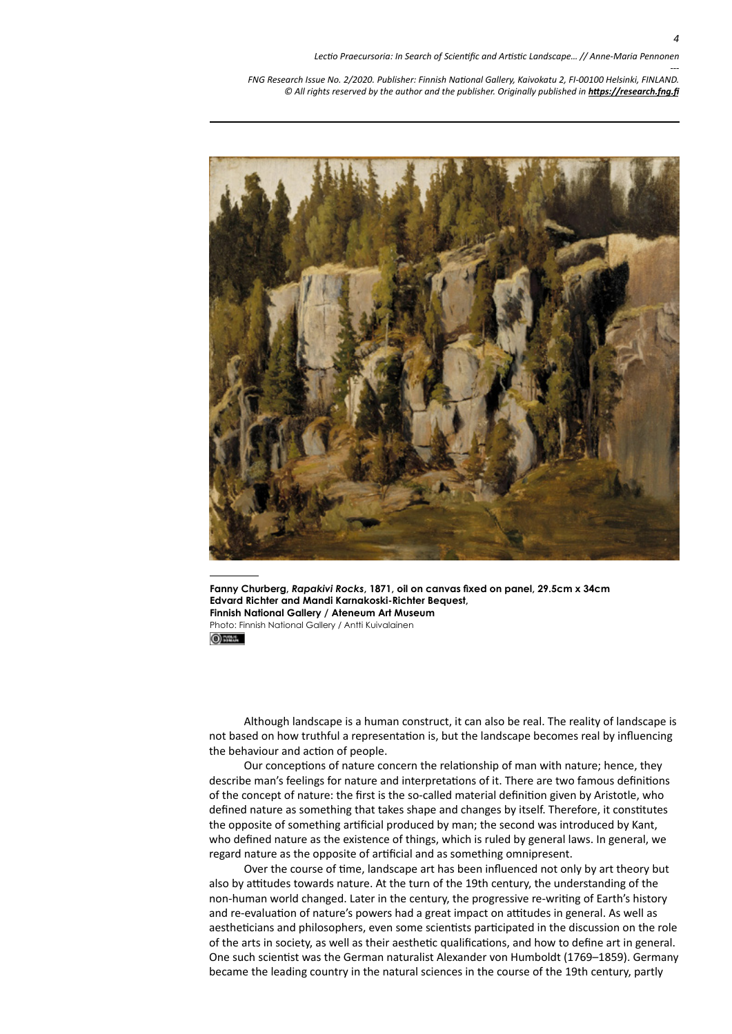

**Fanny Churberg,** *Rapakivi Rocks***, 1871, oil on canvas fixed on panel, 29.5cm x 34cm Edvard Richter and Mandi Karnakoski-Richter Bequest, Finnish National Gallery / Ateneum Art Museum** Photo: Finnish National Gallery / Antti Kuivalainen

 $①$  State

Although landscape is a human construct, it can also be real. The reality of landscape is not based on how truthful a representation is, but the landscape becomes real by influencing the behaviour and action of people.

Our conceptions of nature concern the relationship of man with nature; hence, they describe man's feelings for nature and interpretations of it. There are two famous definitions of the concept of nature: the first is the so-called material definition given by Aristotle, who defined nature as something that takes shape and changes by itself. Therefore, it constitutes the opposite of something artificial produced by man; the second was introduced by Kant, who defined nature as the existence of things, which is ruled by general laws. In general, we regard nature as the opposite of artificial and as something omnipresent.

Over the course of time, landscape art has been influenced not only by art theory but also by attitudes towards nature. At the turn of the 19th century, the understanding of the non-human world changed. Later in the century, the progressive re-writing of Earth's history and re-evaluation of nature's powers had a great impact on attitudes in general. As well as aestheticians and philosophers, even some scientists participated in the discussion on the role of the arts in society, as well as their aesthetic qualifications, and how to define art in general. One such scientist was the German naturalist Alexander von Humboldt (1769–1859). Germany became the leading country in the natural sciences in the course of the 19th century, partly